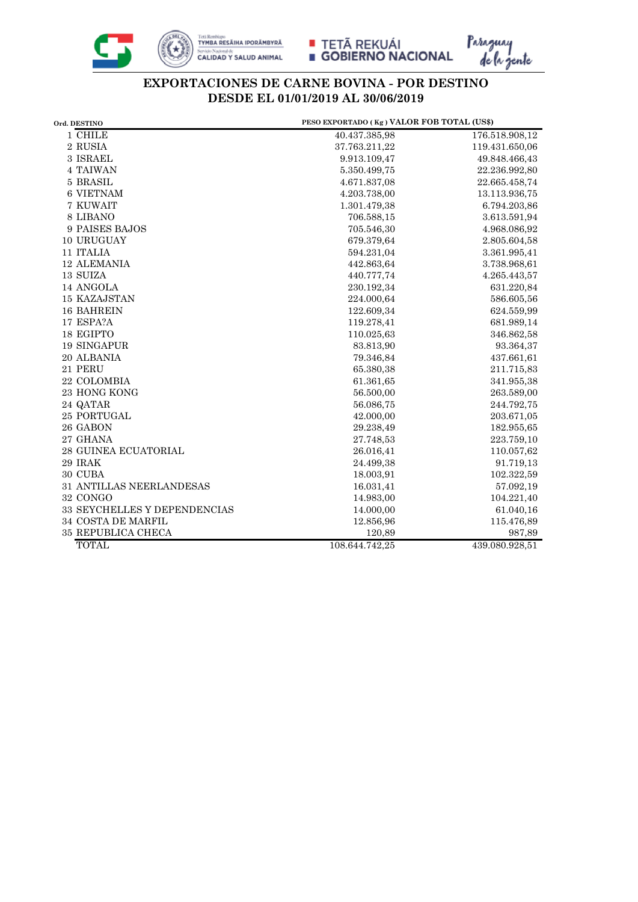







## **EXPORTACIONES DE CARNE BOVINA - POR DESTINO DESDE EL 01/01/2019 AL 30/06/2019**

| Ord. DESTINO                 | PESO EXPORTADO (Kg) VALOR FOB TOTAL (US\$) |                |
|------------------------------|--------------------------------------------|----------------|
| 1 CHILE                      | 40.437.385,98                              | 176.518.908,12 |
| $2\text{ RUSIA}$             | 37.763.211,22                              | 119.431.650,06 |
| 3 ISRAEL                     | 9.913.109,47                               | 49.848.466,43  |
| 4 TAIWAN                     | 5.350.499.75                               | 22.236.992,80  |
| 5 BRASIL                     | 4.671.837,08                               | 22.665.458,74  |
| <b>6 VIETNAM</b>             | 4.203.738,00                               | 13.113.936,75  |
| 7 KUWAIT                     | 1.301.479.38                               | 6.794.203,86   |
| 8 LIBANO                     | 706.588,15                                 | 3.613.591,94   |
| 9 PAISES BAJOS               | 705.546,30                                 | 4.968.086,92   |
| 10 URUGUAY                   | 679.379,64                                 | 2.805.604,58   |
| 11 ITALIA                    | 594.231,04                                 | 3.361.995,41   |
| <b>12 ALEMANIA</b>           | 442.863,64                                 | 3.738.968,61   |
| 13 SUIZA                     | 440.777,74                                 | 4.265.443,57   |
| 14 ANGOLA                    | 230.192,34                                 | 631.220,84     |
| <b>15 KAZAJSTAN</b>          | 224.000,64                                 | 586.605,56     |
| <b>16 BAHREIN</b>            | 122.609,34                                 | 624.559,99     |
| 17 ESPA?A                    | 119.278,41                                 | 681.989,14     |
| 18 EGIPTO                    | 110.025,63                                 | 346.862,58     |
| 19 SINGAPUR                  | 83.813,90                                  | 93.364,37      |
| 20 ALBANIA                   | 79.346,84                                  | 437.661,61     |
| 21 PERU                      | 65.380,38                                  | 211.715,83     |
| 22 COLOMBIA                  | 61.361,65                                  | 341.955,38     |
| 23 HONG KONG                 | 56.500,00                                  | 263.589,00     |
| 24 QATAR                     | 56.086,75                                  | 244.792,75     |
| 25 PORTUGAL                  | 42.000,00                                  | 203.671,05     |
| 26 GABON                     | 29.238,49                                  | 182.955,65     |
| 27 GHANA                     | 27.748,53                                  | 223.759,10     |
| 28 GUINEA ECUATORIAL         | 26.016,41                                  | 110.057,62     |
| 29 IRAK                      | 24.499,38                                  | 91.719,13      |
| 30 CUBA                      | 18.003,91                                  | 102.322,59     |
| 31 ANTILLAS NEERLANDESAS     | 16.031,41                                  | 57.092,19      |
| 32 CONGO                     | 14.983,00                                  | 104.221,40     |
| 33 SEYCHELLES Y DEPENDENCIAS | 14.000,00                                  | 61.040,16      |
| 34 COSTA DE MARFIL           | 12.856,96                                  | 115.476,89     |
| <b>35 REPUBLICA CHECA</b>    | 120,89                                     | 987,89         |
| <b>TOTAL</b>                 | 108.644.742,25                             | 439.080.928,51 |